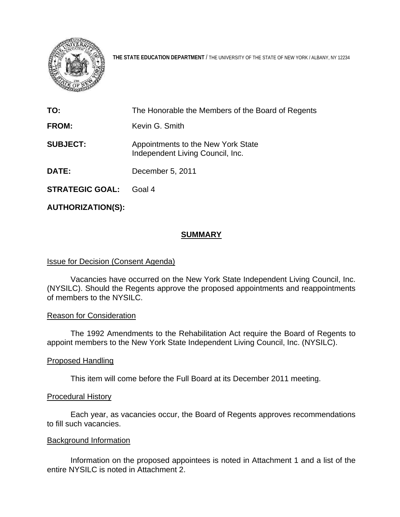

**THE STATE EDUCATION DEPARTMENT** / THE UNIVERSITY OF THE STATE OF NEW YORK / ALBANY, NY 12234

| TO:                    | The Honorable the Members of the Board of Regents                      |
|------------------------|------------------------------------------------------------------------|
| FROM:                  | Kevin G. Smith                                                         |
| <b>SUBJECT:</b>        | Appointments to the New York State<br>Independent Living Council, Inc. |
| <b>DATE:</b>           | December 5, 2011                                                       |
| <b>STRATEGIC GOAL:</b> | Goal 4                                                                 |

**AUTHORIZATION(S):** 

# **SUMMARY**

## **Issue for Decision (Consent Agenda)**

Vacancies have occurred on the New York State Independent Living Council, Inc. (NYSILC). Should the Regents approve the proposed appointments and reappointments of members to the NYSILC.

## Reason for Consideration

The 1992 Amendments to the Rehabilitation Act require the Board of Regents to appoint members to the New York State Independent Living Council, Inc. (NYSILC).

## Proposed Handling

This item will come before the Full Board at its December 2011 meeting.

## Procedural History

Each year, as vacancies occur, the Board of Regents approves recommendations to fill such vacancies.

## Background Information

 Information on the proposed appointees is noted in Attachment 1 and a list of the entire NYSILC is noted in Attachment 2.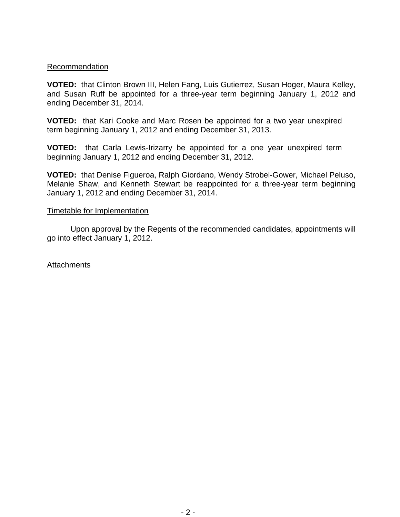## Recommendation

**VOTED:** that Clinton Brown III, Helen Fang, Luis Gutierrez, Susan Hoger, Maura Kelley, and Susan Ruff be appointed for a three-year term beginning January 1, 2012 and ending December 31, 2014.

**VOTED:** that Kari Cooke and Marc Rosen be appointed for a two year unexpired term beginning January 1, 2012 and ending December 31, 2013.

**VOTED:** that Carla Lewis-Irizarry be appointed for a one year unexpired term beginning January 1, 2012 and ending December 31, 2012.

**VOTED:** that Denise Figueroa, Ralph Giordano, Wendy Strobel-Gower, Michael Peluso, Melanie Shaw, and Kenneth Stewart be reappointed for a three-year term beginning January 1, 2012 and ending December 31, 2014.

## Timetable for Implementation

Upon approval by the Regents of the recommended candidates, appointments will go into effect January 1, 2012.

**Attachments**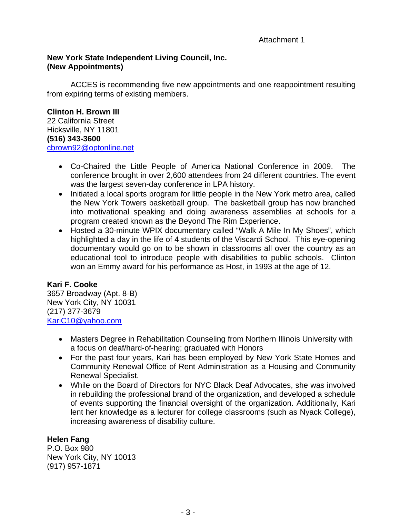# **New York State Independent Living Council, Inc. (New Appointments)**

ACCES is recommending five new appointments and one reappointment resulting from expiring terms of existing members.

**Clinton H. Brown III**  22 California Street Hicksville, NY 11801 **(516) 343-3600**  [cbrown92@optonline.net](mailto:cbrown92@optonline.net) 

- Co-Chaired the Little People of America National Conference in 2009. The conference brought in over 2,600 attendees from 24 different countries. The event was the largest seven-day conference in LPA history.
- Initiated a local sports program for little people in the New York metro area, called the New York Towers basketball group. The basketball group has now branched into motivational speaking and doing awareness assemblies at schools for a program created known as the Beyond The Rim Experience.
- Hosted a 30-minute WPIX documentary called "Walk A Mile In My Shoes", which highlighted a day in the life of 4 students of the Viscardi School. This eye-opening documentary would go on to be shown in classrooms all over the country as an educational tool to introduce people with disabilities to public schools. Clinton won an Emmy award for his performance as Host, in 1993 at the age of 12.

# **Kari F. Cooke**

3657 Broadway (Apt. 8-B) New York City, NY 10031 (217) 377-3679 [KariC10@yahoo.com](mailto:KariC10@yahoo.com)

- Masters Degree in Rehabilitation Counseling from Northern Illinois University with a focus on deaf/hard-of-hearing; graduated with Honors
- For the past four years, Kari has been employed by New York State Homes and Community Renewal Office of Rent Administration as a Housing and Community Renewal Specialist.
- While on the Board of Directors for NYC Black Deaf Advocates, she was involved in rebuilding the professional brand of the organization, and developed a schedule of events supporting the financial oversight of the organization. Additionally, Kari lent her knowledge as a lecturer for college classrooms (such as Nyack College), increasing awareness of disability culture.

# **Helen Fang**

P.O. Box 980 New York City, NY 10013 (917) 957-1871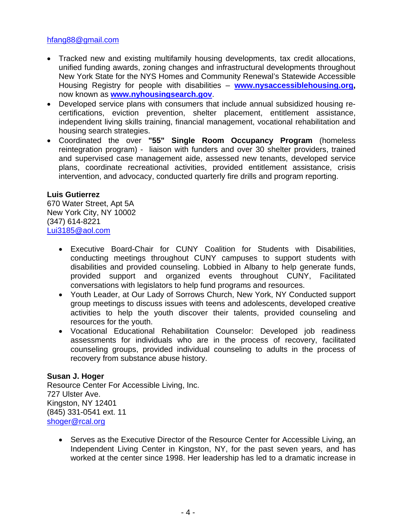# [hfang88@gmail.com](mailto:hfang88@gmail.com)

- Tracked new and existing multifamily housing developments, tax credit allocations, unified funding awards, zoning changes and infrastructural developments throughout New York State for the NYS Homes and Community Renewal's Statewide Accessible Housing Registry for people with disabilities – **[www.nysaccessiblehousing.org](http://www.nysaccessiblehousing.org/),**  now known as **[www.nyhousingsearch.gov](http://www.nyhousingsearch.gov/)**.
- Developed service plans with consumers that include annual subsidized housing recertifications, eviction prevention, shelter placement, entitlement assistance, independent living skills training, financial management, vocational rehabilitation and housing search strategies.
- Coordinated the over **"55" Single Room Occupancy Program** (homeless reintegration program) - liaison with funders and over 30 shelter providers, trained and supervised case management aide, assessed new tenants, developed service plans, coordinate recreational activities, provided entitlement assistance, crisis intervention, and advocacy, conducted quarterly fire drills and program reporting.

## **Luis Gutierrez**

670 Water Street, Apt 5A New York City, NY 10002 (347) 614-8221 [Lui3185@aol.com](mailto:Lui3185@aol.com)

- Executive Board-Chair for CUNY Coalition for Students with Disabilities, conducting meetings throughout CUNY campuses to support students with disabilities and provided counseling. Lobbied in Albany to help generate funds, provided support and organized events throughout CUNY, Facilitated conversations with legislators to help fund programs and resources.
- Youth Leader, at Our Lady of Sorrows Church, New York, NY Conducted support group meetings to discuss issues with teens and adolescents, developed creative activities to help the youth discover their talents, provided counseling and resources for the youth.
- Vocational Educational Rehabilitation Counselor: Developed job readiness assessments for individuals who are in the process of recovery, facilitated counseling groups, provided individual counseling to adults in the process of recovery from substance abuse history.

# **Susan J. Hoger**

Resource Center For Accessible Living, Inc. 727 Ulster Ave. Kingston, NY 12401 (845) 331-0541 ext. 11 [shoger@rcal.org](mailto:shoger@rcal.org)

• Serves as the Executive Director of the Resource Center for Accessible Living, an Independent Living Center in Kingston, NY, for the past seven years, and has worked at the center since 1998. Her leadership has led to a dramatic increase in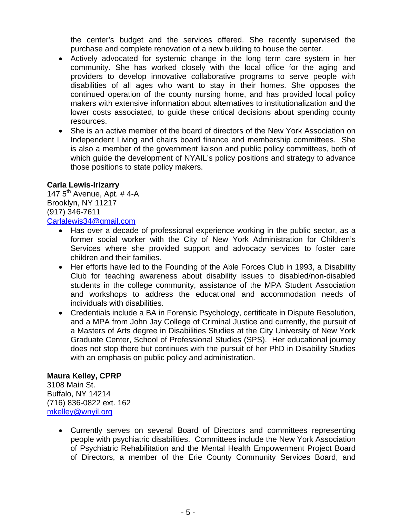the center's budget and the services offered. She recently supervised the purchase and complete renovation of a new building to house the center.

- Actively advocated for systemic change in the long term care system in her community. She has worked closely with the local office for the aging and providers to develop innovative collaborative programs to serve people with disabilities of all ages who want to stay in their homes. She opposes the continued operation of the county nursing home, and has provided local policy makers with extensive information about alternatives to institutionalization and the lower costs associated, to guide these critical decisions about spending county resources.
- She is an active member of the board of directors of the New York Association on Independent Living and chairs board finance and membership committees. She is also a member of the government liaison and public policy committees, both of which guide the development of NYAIL's policy positions and strategy to advance those positions to state policy makers.

# **Carla Lewis-Irizarry**

147  $5^{\text{th}}$  Avenue, Apt. #4-A Brooklyn, NY 11217 (917) 346-7611 [Carlalewis34@gmail.com](mailto:Carlalewis34@gmail.com)

- Has over a decade of professional experience working in the public sector, as a former social worker with the City of New York Administration for Children's Services where she provided support and advocacy services to foster care children and their families.
- Her efforts have led to the Founding of the Able Forces Club in 1993, a Disability Club for teaching awareness about disability issues to disabled/non-disabled students in the college community, assistance of the MPA Student Association and workshops to address the educational and accommodation needs of individuals with disabilities.
- Credentials include a BA in Forensic Psychology, certificate in Dispute Resolution, and a MPA from John Jay College of Criminal Justice and currently, the pursuit of a Masters of Arts degree in Disabilities Studies at the City University of New York Graduate Center, School of Professional Studies (SPS). Her educational journey does not stop there but continues with the pursuit of her PhD in Disability Studies with an emphasis on public policy and administration.

## **Maura Kelley, CPRP**

3108 Main St. Buffalo, NY 14214 (716) 836-0822 ext. 162 [mkelley@wnyil.org](mailto:mkelley@wnyil.org)

> Currently serves on several Board of Directors and committees representing people with psychiatric disabilities. Committees include the New York Association of Psychiatric Rehabilitation and the Mental Health Empowerment Project Board of Directors, a member of the Erie County Community Services Board, and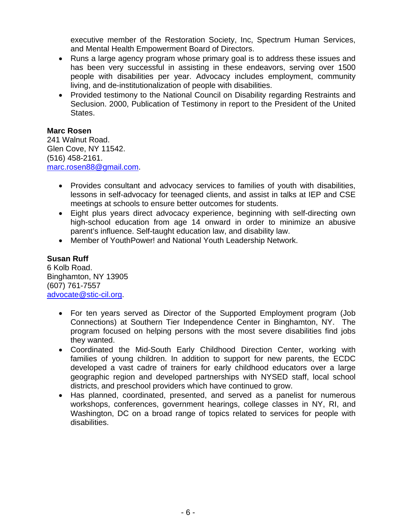executive member of the Restoration Society, Inc, Spectrum Human Services, and Mental Health Empowerment Board of Directors.

- Runs a large agency program whose primary goal is to address these issues and has been very successful in assisting in these endeavors, serving over 1500 people with disabilities per year. Advocacy includes employment, community living, and de-institutionalization of people with disabilities.
- Provided testimony to the National Council on Disability regarding Restraints and Seclusion. 2000, Publication of Testimony in report to the President of the United States.

# **Marc Rosen**

241 Walnut Road. Glen Cove, NY 11542. (516) 458-2161. [marc.rosen88@gmail.com](mailto:marc.rosen88@gmail.com).

- Provides consultant and advocacy services to families of youth with disabilities, lessons in self-advocacy for teenaged clients, and assist in talks at IEP and CSE meetings at schools to ensure better outcomes for students.
- Eight plus years direct advocacy experience, beginning with self-directing own high-school education from age 14 onward in order to minimize an abusive parent's influence. Self-taught education law, and disability law.
- Member of YouthPower! and National Youth Leadership Network.

# **Susan Ruff**

6 Kolb Road. Binghamton, NY 13905 (607) 761-7557 [advocate@stic-cil.org.](mailto:advocate@stic-cil.org)

- For ten years served as Director of the Supported Employment program (Job Connections) at Southern Tier Independence Center in Binghamton, NY. The program focused on helping persons with the most severe disabilities find jobs they wanted.
- Coordinated the Mid-South Early Childhood Direction Center, working with families of young children. In addition to support for new parents, the ECDC developed a vast cadre of trainers for early childhood educators over a large geographic region and developed partnerships with NYSED staff, local school districts, and preschool providers which have continued to grow.
- Has planned, coordinated, presented, and served as a panelist for numerous workshops, conferences, government hearings, college classes in NY, RI, and Washington, DC on a broad range of topics related to services for people with disabilities.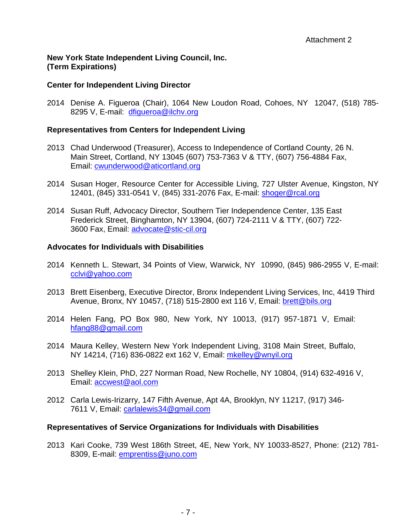# **New York State Independent Living Council, Inc. (Term Expirations)**

# **Center for Independent Living Director**

2014 Denise A. Figueroa (Chair), 1064 New Loudon Road, Cohoes, NY 12047, (518) 785 8295 V, E-mail: [dfigueroa@ilchv.org](mailto:dfigueroa@ilchv.org)

#### **Representatives from Centers for Independent Living**

- 2013 Chad Underwood (Treasurer), Access to Independence of Cortland County, 26 N. Main Street, Cortland, NY 13045 (607) 753-7363 V & TTY, (607) 756-4884 Fax, Email: [cwunderwood@aticortland.org](mailto:cwunderwood@aticortland.org)
- 2014 Susan Hoger, Resource Center for Accessible Living, 727 Ulster Avenue, Kingston, NY 12401, (845) 331-0541 V, (845) 331-2076 Fax, E-mail: [shoger@rcal.org](mailto:shoger@rcal.org)
- 2014 Susan Ruff, Advocacy Director, Southern Tier Independence Center, 135 East Frederick Street, Binghamton, NY 13904, (607) 724-2111 V & TTY, (607) 722- 3600 Fax, Email: [advocate@stic-cil.org](mailto:advocate@stic-cil.org)

#### **Advocates for Individuals with Disabilities**

- 2014 Kenneth L. Stewart, 34 Points of View, Warwick, NY 10990, (845) 986-2955 V, E-mail: [cclvi@yahoo.com](mailto:cclvi@yahoo.com)
- 2013 Brett Eisenberg, Executive Director, Bronx Independent Living Services, Inc, 4419 Third Avenue, Bronx, NY 10457, (718) 515-2800 ext 116 V, Email: [brett@bils.org](mailto:brett@bils.org)
- 2014 Helen Fang, PO Box 980, New York, NY 10013, (917) 957-1871 V, Email: [hfang88@gmail.com](mailto:hfang88@gmail.com)
- 2014 Maura Kelley, Western New York Independent Living, 3108 Main Street, Buffalo, NY 14214, (716) 836-0822 ext 162 V, Email: mkelley@wnyil.org
- 2013 Shelley Klein, PhD, 227 Norman Road, New Rochelle, NY 10804, (914) 632-4916 V, Email: **[accwest@aol.com](mailto:accwest@aol.com)**
- 2012 Carla Lewis-Irizarry, 147 Fifth Avenue, Apt 4A, Brooklyn, NY 11217, (917) 346- 7611 V, Email: [carlalewis34@gmail.com](mailto:carlalewis34@gmail.com)

## **Representatives of Service Organizations for Individuals with Disabilities**

2013 Kari Cooke, 739 West 186th Street, 4E, New York, NY 10033-8527, Phone: (212) 781- 8309, E-mail: emprentiss@juno.com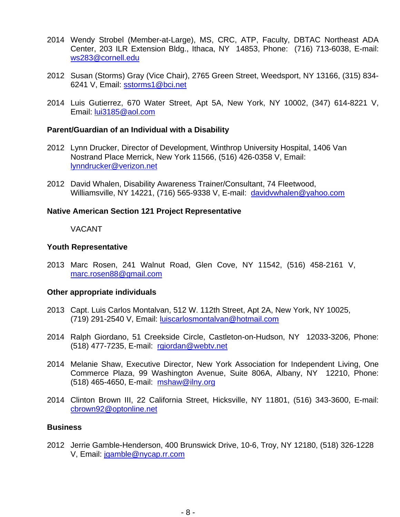- 2014 Wendy Strobel (Member-at-Large), MS, CRC, ATP, Faculty, DBTAC Northeast ADA Center, 203 ILR Extension Bldg., Ithaca, NY 14853, Phone: (716) 713-6038, E-mail: [ws283@cornell.edu](mailto:ws283@cornell.edu)
- 2012 Susan (Storms) Gray (Vice Chair), 2765 Green Street, Weedsport, NY 13166, (315) 834- 6241 V, Email: [sstorms1@bci.net](mailto:sstorms1@bci.net)
- 2014 Luis Gutierrez, 670 Water Street, Apt 5A, New York, NY 10002, (347) 614-8221 V, Email: [lui3185@aol.com](mailto:lui3185@aol.com)

#### **Parent/Guardian of an Individual with a Disability**

- 2012 Lynn Drucker, Director of Development, Winthrop University Hospital, 1406 Van Nostrand Place Merrick, New York 11566, (516) 426-0358 V, Email: [lynndrucker@verizon.net](mailto:lynndrucker@verizon.net)
- 2012 David Whalen, Disability Awareness Trainer/Consultant, 74 Fleetwood, Williamsville, NY 14221, (716) 565-9338 V, E-mail: [davidvwhalen@yahoo.com](mailto:davidvwhalen@yahoo.com)

## **Native American Section 121 Project Representative**

# VACANT

## **Youth Representative**

2013 Marc Rosen, 241 Walnut Road, Glen Cove, NY 11542, (516) 458-2161 V, [marc.rosen88@gmail.com](mailto:marc.rosen88@gmail.com)

## **Other appropriate individuals**

- 2013 Capt. Luis Carlos Montalvan, 512 W. 112th Street, Apt 2A, New York, NY 10025, (719) 291-2540 V, Email: luiscarlosmontalvan@hotmail.com
- 2014 Ralph Giordano, 51 Creekside Circle, Castleton-on-Hudson, NY 12033-3206, Phone: (518) 477-7235, E-mail: [rgiordan@webtv.net](mailto:rgiordan@webtv.net)
- 2014 Melanie Shaw, Executive Director, New York Association for Independent Living, One Commerce Plaza, 99 Washington Avenue, Suite 806A, Albany, NY 12210, Phone: (518) 465-4650, E-mail: [mshaw@ilny.org](mailto:mshaw@ilny.org)
- 2014 Clinton Brown III, 22 California Street, Hicksville, NY 11801, (516) 343-3600, E-mail: [cbrown92@optonline.net](mailto:cbrown92@optonline.net)

# **Business**

2012 Jerrie Gamble-Henderson, 400 Brunswick Drive, 10-6, Troy, NY 12180, (518) 326-1228 V, Email: [jgamble@nycap.rr.com](mailto:jgamble@nycap.rr.com)